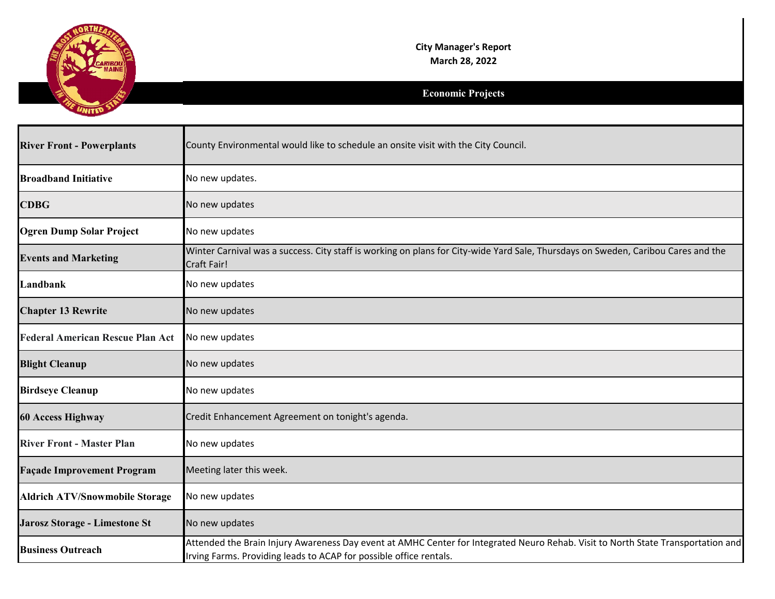

| <b>River Front - Powerplants</b>        | County Environmental would like to schedule an onsite visit with the City Council.                                                                                                                     |
|-----------------------------------------|--------------------------------------------------------------------------------------------------------------------------------------------------------------------------------------------------------|
| <b>Broadband Initiative</b>             | No new updates.                                                                                                                                                                                        |
| <b>CDBG</b>                             | No new updates                                                                                                                                                                                         |
| <b>Ogren Dump Solar Project</b>         | No new updates                                                                                                                                                                                         |
| <b>Events and Marketing</b>             | Winter Carnival was a success. City staff is working on plans for City-wide Yard Sale, Thursdays on Sweden, Caribou Cares and the<br>Craft Fair!                                                       |
| Landbank                                | No new updates                                                                                                                                                                                         |
| <b>Chapter 13 Rewrite</b>               | No new updates                                                                                                                                                                                         |
| <b>Federal American Rescue Plan Act</b> | No new updates                                                                                                                                                                                         |
| <b>Blight Cleanup</b>                   | No new updates                                                                                                                                                                                         |
| <b>Birdseye Cleanup</b>                 | No new updates                                                                                                                                                                                         |
| <b>60 Access Highway</b>                | Credit Enhancement Agreement on tonight's agenda.                                                                                                                                                      |
| <b>River Front - Master Plan</b>        | No new updates                                                                                                                                                                                         |
| <b>Façade Improvement Program</b>       | Meeting later this week.                                                                                                                                                                               |
| <b>Aldrich ATV/Snowmobile Storage</b>   | No new updates                                                                                                                                                                                         |
| Jarosz Storage - Limestone St           | No new updates                                                                                                                                                                                         |
| <b>Business Outreach</b>                | Attended the Brain Injury Awareness Day event at AMHC Center for Integrated Neuro Rehab. Visit to North State Transportation and<br>Irving Farms. Providing leads to ACAP for possible office rentals. |